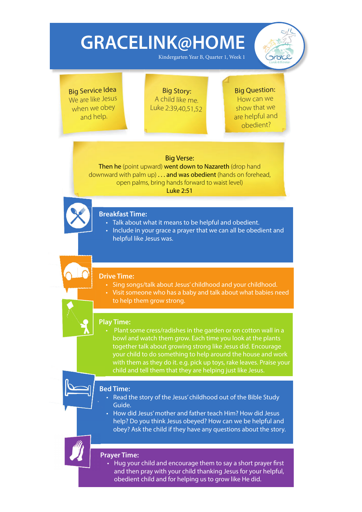Kindergarten Year B, Quarter 1, Week 1



Big Service Idea We are like Jesus when we obey and help.

Big Story: A child like me. Luke 2:39,40,51,52

### Big Question: How can we show that we

are helpful and obedient?

### Big Verse:

Then he (point upward) went down to Nazareth (drop hand downward with palm up) . . . and was obedient (hands on forehead, open palms, bring hands forward to waist level) Luke 2:51



## **Breakfast Time: B**

- Talk about what it means to be helpful and obedient.
- Include in your grace a prayer that we can all be obedient and helpful like Jesus was.

#### **Drive Time:**

- Sing songs/talk about Jesus' childhood and your childhood.
- Visit someone who has a baby and talk about what babies need to help them grow strong.

## **Play Time:**

• Plant some cress/radishes in the garden or on cotton wall in a bowl and watch them grow. Each time you look at the plants together talk about growing strong like Jesus did. Encourage your child to do something to help around the house and work with them as they do it. e.g. pick up toys, rake leaves. Praise your child and tell them that they are helping just like Jesus.

## **Bed Time: Be**

- Read the story of the Jesus' childhood out of the Bible Study Guide.
- How did Jesus' mother and father teach Him? How did Jesus help? Do you think Jesus obeyed? How can we be helpful and obey? Ask the child if they have any questions about the story.

### **Prayer Time:**

• Hug your child and encourage them to say a short prayer first and then pray with your child thanking Jesus for your helpful, obedient child and for helping us to grow like He did.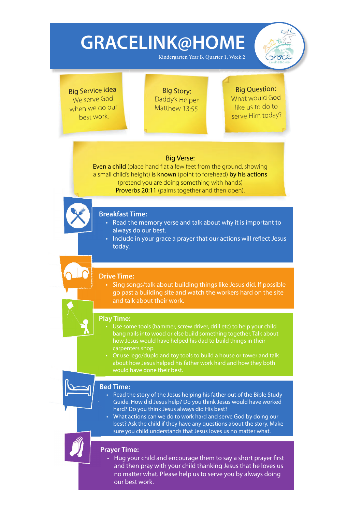Kindergarten Year B, Quarter 1, Week 2



Big Service Idea We serve God when we do our best work.

Big Story: Daddy's Helper Matthew 13:55

### Big Question: What would God like us to do to serve Him today?

### Big Verse:

Even a child (place hand flat a few feet from the ground, showing a small child's height) is known (point to forehead) by his actions (pretend you are doing something with hands) Proverbs 20:11 (palms together and then open).



## **Breakfast Time: B**

- Read the memory verse and talk about why it is important to always do our best.
- Include in your grace a prayer that our actions will reflect Jesus today.

### **Drive Time:**

• Sing songs/talk about building things like Jesus did. If possible go past a building site and watch the workers hard on the site and talk about their work.



### **Play Time:**

- bang nails into wood or else build something together. Talk about how Jesus would have helped his dad to build things in their carpenters shop.
- Or use lego/duplo and toy tools to build a house or tower and talk would have done their best.

### **Bed Time: Be**

- Read the story of the Jesus helping his father out of the Bible Study Guide. How did Jesus help? Do you think Jesus would have worked hard? Do you think Jesus always did His best?
- What actions can we do to work hard and serve God by doing our best? Ask the child if they have any questions about the story. Make sure you child understands that Jesus loves us no matter what.

### **Prayer Time:**

• Hug your child and encourage them to say a short prayer first and then pray with your child thanking Jesus that he loves us no matter what. Please help us to serve you by always doing our best work.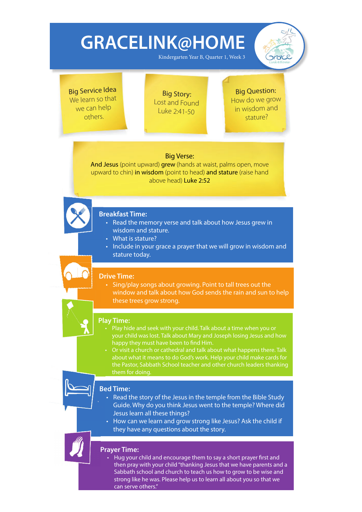Kindergarten Year B, Quarter 1, Week 3



Big Service Idea We learn so that we can help others.

Big Story: Lost and Found Luke 2:41-50

Big Question: How do we grow in wisdom and stature?

### Big Verse:

And Jesus (point upward) grew (hands at waist, palms open, move upward to chin) in wisdom (point to head) and stature (raise hand above head) Luke 2:52



### **Breakfast Time: B**

- Read the memory verse and talk about how Jesus grew in wisdom and stature.
- What is stature?
- Include in your grace a prayer that we will grow in wisdom and stature today.

### **Drive Time:**

• Sing/play songs about growing. Point to tall trees out the window and talk about how God sends the rain and sun to help these trees grow strong.



## **Play Time:**

- happy they must have been to find Him.
- Or visit a church or cathedral and talk about what happens there. Talk about what it means to do God's work. Help your child make cards for the Pastor, Sabbath School teacher and other church leaders thanking them for doing.

## **Bed Time: Be**

- Read the story of the Jesus in the temple from the Bible Study Guide. Why do you think Jesus went to the temple? Where did Jesus learn all these things?
- How can we learn and grow strong like Jesus? Ask the child if they have any questions about the story.

### **Prayer Time:**

• Hug your child and encourage them to say a short prayer first and then pray with your child "thanking Jesus that we have parents and a Sabbath school and church to teach us how to grow to be wise and strong like he was. Please help us to learn all about you so that we can serve others."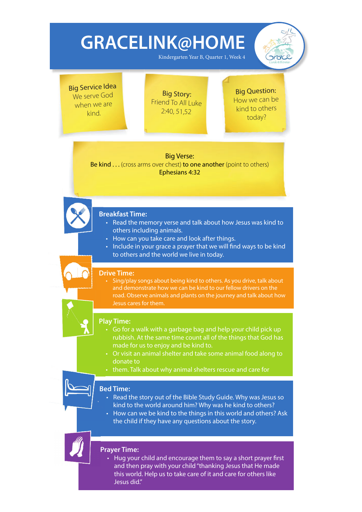Kindergarten Year B, Quarter 1, Week 4



Big Service Idea We serve God when we are kind.

Big Story: Friend To All Luke 2:40, 51,52

Big Question: How we can be kind to others today?

Big Verse: Be kind . . . (cross arms over chest) to one another (point to others) Ephesians 4:32



### **Breakfast Time: B**

- Read the memory verse and talk about how Jesus was kind to others including animals.
- How can you take care and look after things.
- Include in your grace a prayer that we will find ways to be kind to others and the world we live in today.

#### **Drive Time:**

• Sing/play songs about being kind to others. As you drive, talk about and demonstrate how we can be kind to our fellow drivers on the road. Observe animals and plants on the journey and talk about how Jesus cares for them.



### **Play Time:**

- Go for a walk with a garbage bag and help your child pick up rubbish. At the same time count all of the things that God has made for us to enjoy and be kind to.
- Or visit an animal shelter and take some animal food along to donate to
- them. Talk about why animal shelters rescue and care for

### **Bed Time: Be**

- Read the story out of the Bible Study Guide. Why was Jesus so kind to the world around him? Why was he kind to others?
- How can we be kind to the things in this world and others? Ask the child if they have any questions about the story.

**Prayer Time:** 

• Hug your child and encourage them to say a short prayer first and then pray with your child "thanking Jesus that He made this world. Help us to take care of it and care for others like Jesus did."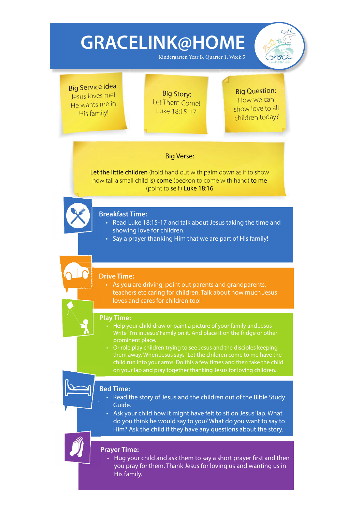Kindergarten Year B, Quarter 1, Week 5



Big Service Idea Jesus loves me! He wants me in His family!

Big Story: Let Them Come! Luke 18:15-17

### Big Question: How we can show love to all children today?

### Big Verse:

Let the little children (hold hand out with palm down as if to show how tall a small child is) come (beckon to come with hand) to me (point to self) Luke 18:16



## **Breakfast Time: B**

- Read Luke 18:15-17 and talk about Jesus taking the time and showing love for children.
- Say a prayer thanking Him that we are part of His family!

### **Drive Time:**

• As you are driving, point out parents and grandparents, teachers etc caring for children. Talk about how much Jesus loves and cares for children too!



### **Play Time: P**

- Help your child draw or paint a picture of your family and Jesus Write "I'm in Jesus' Family on it. And place it on the fridge or other
- Or role play children trying to see Jesus and the disciples keeping on your lap and pray together thanking Jesus for loving children.

## **Bed Time: Be**

- Read the story of Jesus and the children out of the Bible Study Guide.
- Ask your child how it might have felt to sit on Jesus' lap. What do you think he would say to you? What do you want to say to Him? Ask the child if they have any questions about the story.

### **Prayer Time:**

• Hug your child and ask them to say a short prayer first and then you pray for them. Thank Jesus for loving us and wanting us in His family.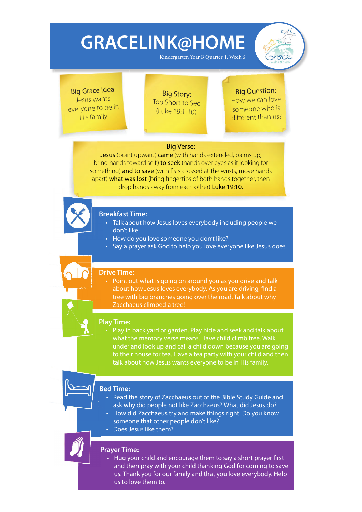Kindergarten Year B Quarter 1, Week 6



Big Grace Idea Jesus wants everyone to be in His family.

Big Story: Too Short to See (Luke 19:1-10)

## Big Question:

How we can love someone who is different than us?

### Big Verse:

Jesus (point upward) came (with hands extended, palms up, bring hands toward self) to seek (hands over eyes as if looking for something) and to save (with fists crossed at the wrists, move hands apart) what was lost (bring fingertips of both hands together, then drop hands away from each other) Luke 19:10.



### **Breakfast Time: B**

- Talk about how Jesus loves everybody including people we don't like.
- How do you love someone you don't like?
- Say a prayer ask God to help you love everyone like Jesus does.

### **Drive Time:**

• Point out what is going on around you as you drive and talk about how Jesus loves everybody. As you are driving, find a tree with big branches going over the road. Talk about why Zacchaeus climbed a tree!



## **Play Time:**

• Play in back yard or garden. Play hide and seek and talk about what the memory verse means. Have child climb tree. Walk under and look up and call a child down because you are going to their house for tea. Have a tea party with your child and then talk about how Jesus wants everyone to be in His family.

### **Bed Time: Be**

- Read the story of Zacchaeus out of the Bible Study Guide and ask why did people not like Zacchaeus? What did Jesus do?
- How did Zacchaeus try and make things right. Do you know someone that other people don't like?
- Does Jesus like them?

### **Prayer Time:**

• Hug your child and encourage them to say a short prayer first and then pray with your child thanking God for coming to save us. Thank you for our family and that you love everybody. Help us to love them to.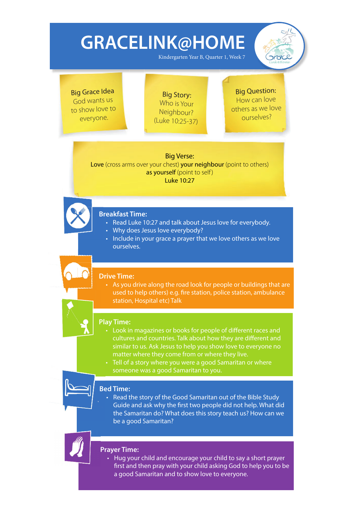Kindergarten Year B, Quarter 1, Week 7



Big Grace Idea God wants us to show love to everyone.

Big Story: Who is Your Neighbour? (Luke 10:25-37)

Big Question: How can love others as we love ourselves?

Big Verse:

Love (cross arms over your chest) your neighbour (point to others) as yourself (point to self) Luke 10:27



## **Breakfast Time: B**

- Read Luke 10:27 and talk about Jesus love for everybody.
- Why does Jesus love everybody?
- Include in your grace a prayer that we love others as we love ourselves.

#### **Drive Time:**

• As you drive along the road look for people or buildings that are used to help others) e.g. fire station, police station, ambulance station, Hospital etc) Talk

## **Play Time:**

- Look in magazines or books for people of different races and cultures and countries. Talk about how they are different and similar to us. Ask Jesus to help you show love to everyone no matter where they come from or where they live.
- Tell of a story where you were a good Samaritan or where someone was a good Samaritan to you.

## **Bed Time: Be**

• Read the story of the Good Samaritan out of the Bible Study Guide and ask why the first two people did not help. What did the Samaritan do? What does this story teach us? How can we be a good Samaritan?

**Prayer Time:** 

• Hug your child and encourage your child to say a short prayer first and then pray with your child asking God to help you to be a good Samaritan and to show love to everyone.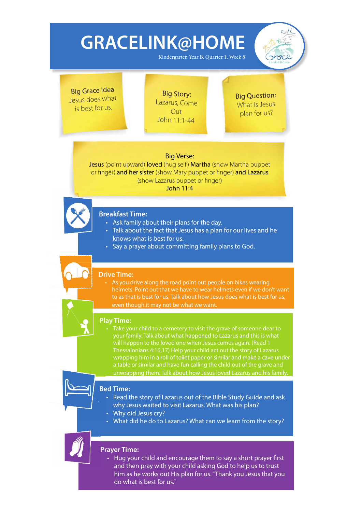Kindergarten Year B, Quarter 1, Week 8

pract

Big Grace Idea Jesus does what is best for us.

Big Story: Lazarus, Come  $Q$ ut John 11:1-44

Big Question: What is Jesus <sup>p</sup>lan for us?

### Big Verse:

Jesus (point upward) loved (hug self) Martha (show Martha puppet or finger) and her sister (show Mary puppet or finger) and Lazarus (show Lazarus puppet or finger) John 11:4



## **Breakfast Time: B**

- Ask family about their plans for the day.
- Talk about the fact that Jesus has a plan for our lives and he knows what is best for us.
- Say a prayer about committing family plans to God.

### **Drive Time:**

• As you drive along the road point out people on bikes wearing helmets. Point out that we have to wear helmets even if we don't want to as that is best for us. Talk about how Jesus does what is best for us, even though it may not be what we want.



### **Play Time:**

Take your child to a cemetery to visit the grave of someone dear to your family. Talk about what happened to Lazarus and this is what will happen to the loved one when Jesus comes again. (Read 1 wrapping him in a roll of toilet paper or similar and make a cave under a table or similar and have fun calling the child out of the grave and unwrapping them. Talk about how Jesus loved Lazarus and his family.

### **Bed Time: Be**

- Read the story of Lazarus out of the Bible Study Guide and ask why Jesus waited to visit Lazarus. What was his plan?
- Why did Jesus cry?
- What did he do to Lazarus? What can we learn from the story?

### **Prayer Time:**

• Hug your child and encourage them to say a short prayer first and then pray with your child asking God to help us to trust him as he works out His plan for us. "Thank you Jesus that you do what is best for us."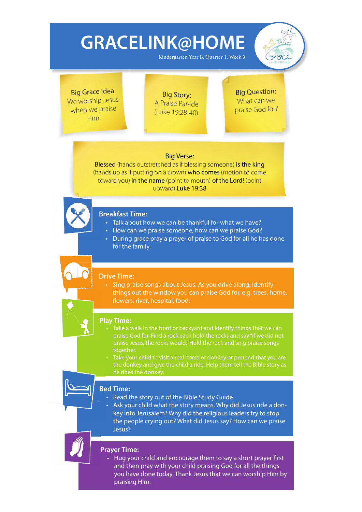Kindergarten Year B, Quarter 1, Week 9



Big Grace Idea We worship Jesus when we praise Him.

Big Story: A Praise Parade (Luke 19:28-40)

Big Question: What can we praise God for?

### Big Verse:

Blessed (hands outstretched as if blessing someone) is the king (hands up as if putting on a crown) who comes (motion to come toward you) in the name (point to mouth) of the Lord! (point upward) Luke 19:38



## **Breakfast Time: B**

- Talk about how we can be thankful for what we have?
- How can we praise someone, how can we praise God?
- During grace pray a prayer of praise to God for all he has done for the family.

#### **Drive Time:**

• Sing praise songs about Jesus. As you drive along; identify things out the window you can praise God for, e.g. trees, home, flowers, river, hospital, food.



### **Play Time:**

- Take a walk in the front or backyard and identify things that we can praise God for. Find a rock each hold the rocks and say "if we did not praise Jesus, the rocks would." Hold the rock and sing praise songs together.
- Take your child to visit a real horse or donkey or pretend that you are the donkey and give the child a ride. Help them tell the Bible story as he rides the donkey.

## **Bed Time: Be**

- Read the story out of the Bible Study Guide.
- Ask your child what the story means. Why did Jesus ride a donkey into Jerusalem? Why did the religious leaders try to stop the people crying out? What did Jesus say? How can we praise Jesus?

### **Prayer Time:**

• Hug your child and encourage them to say a short prayer first and then pray with your child praising God for all the things you have done today. Thank Jesus that we can worship Him by praising Him.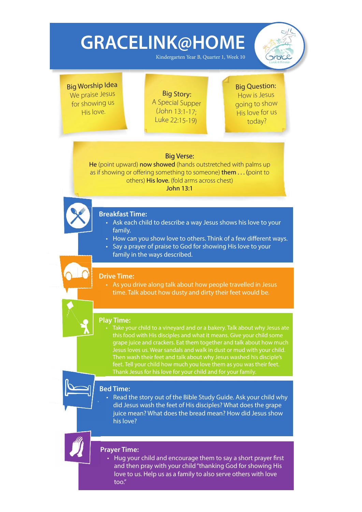Kindergarten Year B, Quarter 1, Week 10



Big Worship Idea We praise Jesus for showing us His love.

Big Story: A Special Supper (John 13:1-17; Luke 22:15-19)

## Big Question:

How is Jesus going to show His love for us today?

### Big Verse:

He (point upward) now showed (hands outstretched with palms up as if showing or offering something to someone) **them...** (point to others) His love. (fold arms across chest) John 13:1



### **Breakfast Time: B**

- Ask each child to describe a way Jesus shows his love to your family.
- How can you show love to others. Think of a few different ways.
- Say a prayer of praise to God for showing His love to your family in the ways described.

### **Drive Time:**

• As you drive along talk about how people travelled in Jesus time. Talk about how dusty and dirty their feet would be.



### **Play Time:**

this food with His disciples and what it means. Give your child some grape juice and crackers. Eat them together and talk about how much Jesus loves us. Wear sandals and walk in dust or mud with your child. Then wash their feet and talk about why Jesus washed his disciple's

## **Bed Time: Be**

• Read the story out of the Bible Study Guide. Ask your child why did Jesus wash the feet of His disciples? What does the grape juice mean? What does the bread mean? How did Jesus show his love?

### **Prayer Time:**

• Hug your child and encourage them to say a short prayer first and then pray with your child "thanking God for showing His love to us. Help us as a family to also serve others with love too."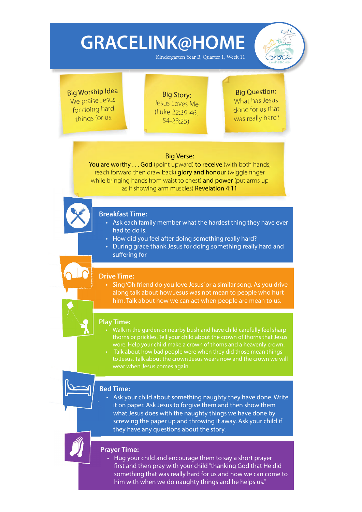Kindergarten Year B, Quarter 1, Week 11



Big Worship Idea We praise Jesus for doing hard things for us.

Big Story: Jesus Loves Me (Luke 22:39-46, 54-23:25)

Big Question: What has Jesus done for us that was really hard?

### Big Verse:

You are worthy . . . God (point upward) to receive (with both hands, reach forward then draw back) **glory and honour** (wiggle finger while bringing hands from waist to chest) and power (put arms up as if showing arm muscles) Revelation 4:11



### **Breakfast Time: B**

- Ask each family member what the hardest thing they have ever had to do is.
- How did you feel after doing something really hard?
- During grace thank Jesus for doing something really hard and suffering for

#### **Drive Time:**

• Sing 'Oh friend do you love Jesus' or a similar song. As you drive along talk about how Jesus was not mean to people who hurt him. Talk about how we can act when people are mean to us.



## • Walk in the garden or nearby bush and have child carefully feel sharp

- thorns or prickles. Tell your child about the crown of thorns that Jesus wore. Help your child make a crown of thorns and a heavenly crown.
- Talk about how bad people were when they did those mean things wear when Jesus comes again.

## **Bed Time: Be**

• Ask your child about something naughty they have done. Write it on paper. Ask Jesus to forgive them and then show them what Jesus does with the naughty things we have done by screwing the paper up and throwing it away. Ask your child if they have any questions about the story.



• Hug your child and encourage them to say a short prayer first and then pray with your child "thanking God that He did something that was really hard for us and now we can come to him with when we do naughty things and he helps us."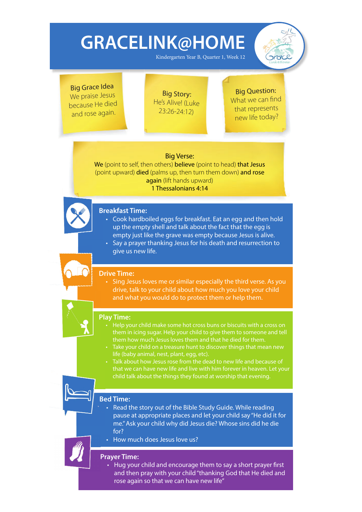Kindergarten Year B, Quarter 1, Week 12



Big Grace Idea We praise Jesus because He died and rose again.

Big Story: He's Alive! (Luke 23:26-24:12)

Big Question: What we can find that represents new life today?

### Big Verse:

We (point to self, then others) believe (point to head) that Jesus (point upward) died (palms up, then turn them down) and rose again (lift hands upward) 1 Thessalonians 4:14



## **Breakfast Time: B**

- Cook hardboiled eggs for breakfast. Eat an egg and then hold up the empty shell and talk about the fact that the egg is empty just like the grave was empty because Jesus is alive.
- Say a prayer thanking Jesus for his death and resurrection to give us new life.

### **Drive Time:**

• Sing Jesus loves me or similar especially the third verse. As you drive, talk to your child about how much you love your child and what you would do to protect them or help them.



### **Play Time:**

- them in icing sugar. Help your child to give them to someone and tell
- life (baby animal, nest, plant, egg, etc).
- 

### **Bed Time: Be**

- Read the story out of the Bible Study Guide. While reading pause at appropriate places and let your child say "He did it for me." Ask your child why did Jesus die? Whose sins did he die for?
- How much does Jesus love us?

#### **Prayer Time:**

• Hug your child and encourage them to say a short prayer first and then pray with your child "thanking God that He died and rose again so that we can have new life"